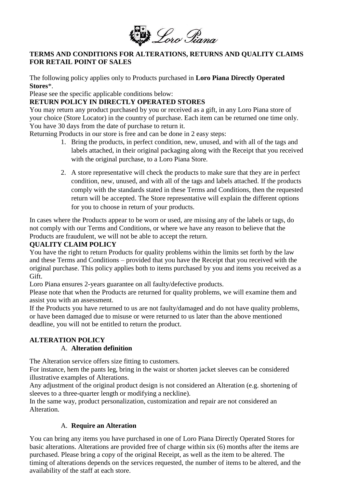

#### **TERMS AND CONDITIONS FOR ALTERATIONS, RETURNS AND QUALITY CLAIMS FOR RETAIL POINT OF SALES**

The following policy applies only to Products purchased in **Loro Piana Directly Operated Stores**\*.

Please see the specific applicable conditions below:

### **RETURN POLICY IN DIRECTLY OPERATED STORES**

You may return any product purchased by you or received as a gift, in any Loro Piana store of your choice (Store Locator) in the country of purchase. Each item can be returned one time only. You have 30 days from the date of purchase to return it.

Returning Products in our store is free and can be done in 2 easy steps:

- 1. Bring the products, in perfect condition, new, unused, and with all of the tags and labels attached, in their original packaging along with the Receipt that you received with the original purchase, to a Loro Piana Store.
- 2. A store representative will check the products to make sure that they are in perfect condition, new, unused, and with all of the tags and labels attached. If the products comply with the standards stated in these Terms and Conditions, then the requested return will be accepted. The Store representative will explain the different options for you to choose in return of your products.

In cases where the Products appear to be worn or used, are missing any of the labels or tags, do not comply with our Terms and Conditions, or where we have any reason to believe that the Products are fraudulent, we will not be able to accept the return.

### **QUALITY CLAIM POLICY**

You have the right to return Products for quality problems within the limits set forth by the law and these Terms and Conditions – provided that you have the Receipt that you received with the original purchase. This policy applies both to items purchased by you and items you received as a Gift.

Loro Piana ensures 2-years guarantee on all faulty/defective products.

Please note that when the Products are returned for quality problems, we will examine them and assist you with an assessment.

If the Products you have returned to us are not faulty/damaged and do not have quality problems, or have been damaged due to misuse or were returned to us later than the above mentioned deadline, you will not be entitled to return the product.

# **ALTERATION POLICY**

## A. **Alteration definition**

The Alteration service offers size fitting to customers.

For instance, hem the pants leg, bring in the waist or shorten jacket sleeves can be considered illustrative examples of Alterations.

Any adjustment of the original product design is not considered an Alteration (e.g. shortening of sleeves to a three-quarter length or modifying a neckline).

In the same way, product personalization, customization and repair are not considered an Alteration.

## A. **Require an Alteration**

You can bring any items you have purchased in one of Loro Piana Directly Operated Stores for basic alterations. Alterations are provided free of charge within six (6) months after the items are purchased. Please bring a copy of the original Receipt, as well as the item to be altered. The timing of alterations depends on the services requested, the number of items to be altered, and the availability of the staff at each store.